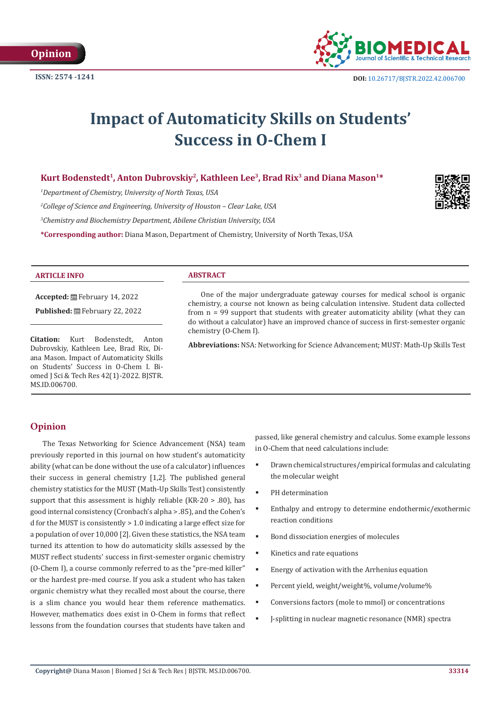

# **Impact of Automaticity Skills on Students' Success in O-Chem I**

# Kurt Bodenstedt<sup>1</sup>, Anton Dubrovskiy<sup>2</sup>, Kathleen Lee<sup>3</sup>, Brad Rix<sup>3</sup> and Diana Mason<sup>1\*</sup>

*1 Department of Chemistry, University of North Texas, USA*

*2 College of Science and Engineering, University of Houston – Clear Lake, USA*

*3 Chemistry and Biochemistry Department, Abilene Christian University, USA*

**\*Corresponding author:** Diana Mason, Department of Chemistry, University of North Texas, USA



## **ARTICLE INFO ABSTRACT**

**Accepted:** February 14, 2022

Published: **曲 February 22, 2022** 

**Citation:** Kurt Bodenstedt, Anton Dubrovskiy, Kathleen Lee, Brad Rix, Diana Mason. Impact of Automaticity Skills on Students' Success in O-Chem I. Biomed J Sci & Tech Res 42(1)-2022. BJSTR. MS.ID.006700.

One of the major undergraduate gateway courses for medical school is organic chemistry, a course not known as being calculation intensive. Student data collected from n = 99 support that students with greater automaticity ability (what they can do without a calculator) have an improved chance of success in first-semester organic chemistry (O-Chem I).

**Abbreviations:** NSA: Networking for Science Advancement; MUST: Math-Up Skills Test

# **Opinion**

The Texas Networking for Science Advancement (NSA) team previously reported in this journal on how student's automaticity ability (what can be done without the use of a calculator) influences their success in general chemistry [1,2]. The published general chemistry statistics for the MUST (Math-Up Skills Test) consistently support that this assessment is highly reliable (KR-20 > .80), has good internal consistency (Cronbach's alpha > .85), and the Cohen's d for the MUST is consistently > 1.0 indicating a large effect size for a population of over 10,000 [2]. Given these statistics, the NSA team turned its attention to how do automaticity skills assessed by the MUST reflect students' success in first-semester organic chemistry (O-Chem I), a course commonly referred to as the "pre-med killer" or the hardest pre-med course. If you ask a student who has taken organic chemistry what they recalled most about the course, there is a slim chance you would hear them reference mathematics. However, mathematics does exist in O-Chem in forms that reflect lessons from the foundation courses that students have taken and

passed, like general chemistry and calculus. Some example lessons in O-Chem that need calculations include:

- Drawn chemical structures/empirical formulas and calculating the molecular weight
- PH determination
- Enthalpy and entropy to determine endothermic/exothermic reaction conditions
- Bond dissociation energies of molecules
- Kinetics and rate equations
- Energy of activation with the Arrhenius equation
- Percent yield, weight/weight%, volume/volume%
- Conversions factors (mole to mmol) or concentrations
- J-splitting in nuclear magnetic resonance (NMR) spectra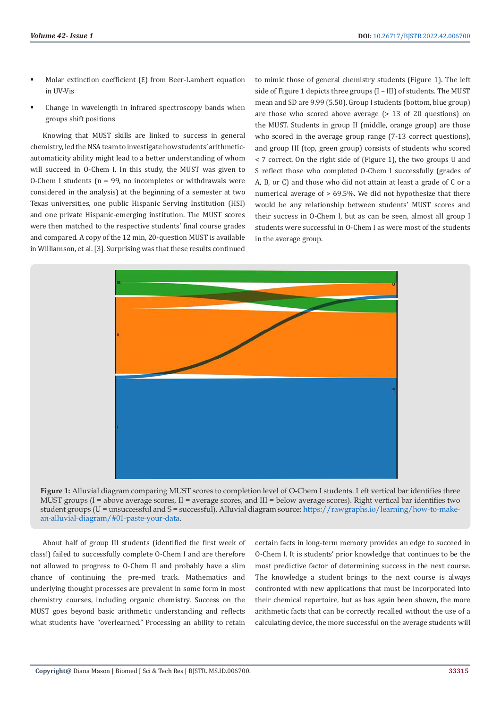- Molar extinction coefficient (Ɛ) from Beer-Lambert equation in UV-Vis
- Change in wavelength in infrared spectroscopy bands when groups shift positions

Knowing that MUST skills are linked to success in general chemistry, led the NSA team to investigate how students' arithmeticautomaticity ability might lead to a better understanding of whom will succeed in O-Chem I. In this study, the MUST was given to O-Chem I students ( $n = 99$ , no incompletes or withdrawals were considered in the analysis) at the beginning of a semester at two Texas universities, one public Hispanic Serving Institution (HSI) and one private Hispanic-emerging institution. The MUST scores were then matched to the respective students' final course grades and compared. A copy of the 12 min, 20-question MUST is available in Williamson, et al. [3]. Surprising was that these results continued

to mimic those of general chemistry students (Figure 1). The left side of Figure 1 depicts three groups (I – III) of students. The MUST mean and SD are 9.99 (5.50). Group I students (bottom, blue group) are those who scored above average (> 13 of 20 questions) on the MUST. Students in group II (middle, orange group) are those who scored in the average group range (7-13 correct questions), and group III (top, green group) consists of students who scored < 7 correct. On the right side of (Figure 1), the two groups U and S reflect those who completed O-Chem I successfully (grades of A, B, or C) and those who did not attain at least a grade of C or a numerical average of > 69.5%. We did not hypothesize that there would be any relationship between students' MUST scores and their success in O-Chem I, but as can be seen, almost all group I students were successful in O-Chem I as were most of the students in the average group.



**Figure 1:** Alluvial diagram comparing MUST scores to completion level of O-Chem I students. Left vertical bar identifies three MUST groups (I = above average scores, II = average scores, and III = below average scores). Right vertical bar identifies two student groups (U = unsuccessful and S = successful). Alluvial diagram source: [https://rawgraphs.io/learning/how-to-make](https://rawgraphs.io/learning/how-to-make-an-alluvial-diagram/#01-paste-your-data)[an-alluvial-diagram/#01-paste-your-data.](https://rawgraphs.io/learning/how-to-make-an-alluvial-diagram/#01-paste-your-data)

About half of group III students (identified the first week of class!) failed to successfully complete O-Chem I and are therefore not allowed to progress to O-Chem II and probably have a slim chance of continuing the pre-med track. Mathematics and underlying thought processes are prevalent in some form in most chemistry courses, including organic chemistry. Success on the MUST goes beyond basic arithmetic understanding and reflects what students have "overlearned." Processing an ability to retain

certain facts in long-term memory provides an edge to succeed in O-Chem I. It is students' prior knowledge that continues to be the most predictive factor of determining success in the next course. The knowledge a student brings to the next course is always confronted with new applications that must be incorporated into their chemical repertoire, but as has again been shown, the more arithmetic facts that can be correctly recalled without the use of a calculating device, the more successful on the average students will